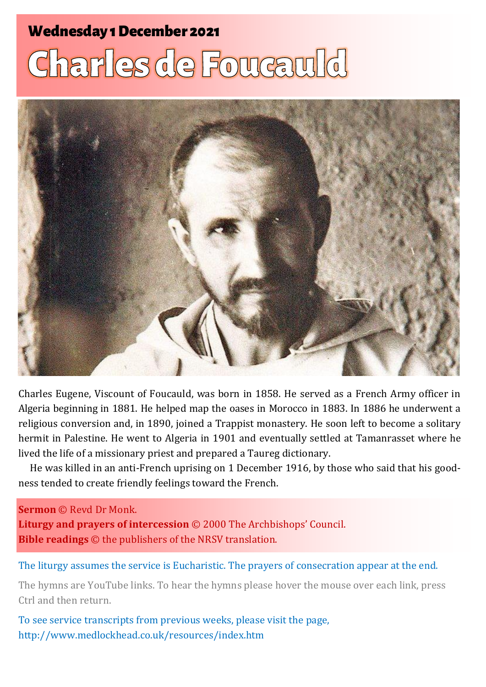#### **Wednesday 1 December 2021**

# **Charles de Foucauld**



Charles Eugene, Viscount of Foucauld, was born in 1858. He served as a French Army officer in Algeria beginning in 1881. He helped map the oases in Morocco in 1883. In 1886 he underwent a religious conversion and, in 1890, joined a Trappist monastery. He soon left to become a solitary hermit in Palestine. He went to Algeria in 1901 and eventually settled at Tamanrasset where he lived the life of a missionary priest and prepared a Taureg dictionary.

He was killed in an anti-French uprising on 1 December 1916, by those who said that his goodness tended to create friendly feelings toward the French.

#### **Sermon** © Revd Dr Monk.

**Liturgy and prayers of intercession** © 2000 The Archbishops' Council. **Bible readings** © the publishers of the NRSV translation.

The liturgy assumes the service is Eucharistic. The prayers of consecration appear at the end.

The hymns are YouTube links. To hear the hymns please hover the mouse over each link, press Ctrl and then return.

To see service transcripts from previous weeks, please visit the page, <http://www.medlockhead.co.uk/resources/index.htm>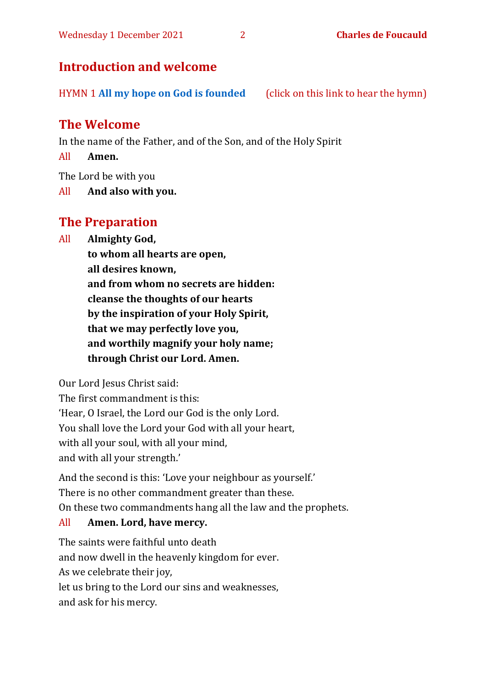#### **Introduction and welcome**

HYMN 1 **[All my hope on God is founded](https://www.youtube.com/watch?v=W3LCGh02Vew)** (click on this link to hear the hymn)

#### **The Welcome**

In the name of the Father, and of the Son, and of the Holy Spirit

All **Amen.**

The Lord be with you

All **And also with you.**

#### **The Preparation**

All **Almighty God,**

**to whom all hearts are open, all desires known, and from whom no secrets are hidden: cleanse the thoughts of our hearts by the inspiration of your Holy Spirit, that we may perfectly love you, and worthily magnify your holy name; through Christ our Lord. Amen.**

Our Lord Jesus Christ said:

The first commandment is this: 'Hear, O Israel, the Lord our God is the only Lord. You shall love the Lord your God with all your heart, with all your soul, with all your mind, and with all your strength.'

And the second is this: 'Love your neighbour as yourself.' There is no other commandment greater than these. On these two commandments hang all the law and the prophets.

#### All **Amen. Lord, have mercy.**

The saints were faithful unto death and now dwell in the heavenly kingdom for ever. As we celebrate their joy, let us bring to the Lord our sins and weaknesses, and ask for his mercy.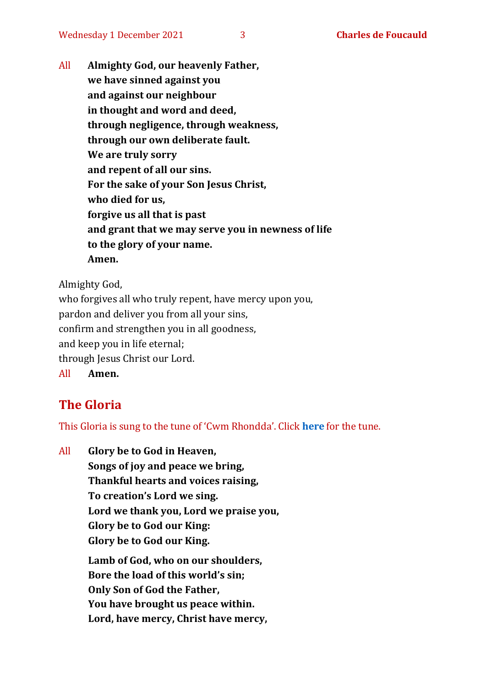All **Almighty God, our heavenly Father, we have sinned against you and against our neighbour in thought and word and deed, through negligence, through weakness, through our own deliberate fault. We are truly sorry and repent of all our sins. For the sake of your Son Jesus Christ, who died for us, forgive us all that is past and grant that we may serve you in newness of life to the glory of your name. Amen.**

Almighty God,

who forgives all who truly repent, have mercy upon you, pardon and deliver you from all your sins, confirm and strengthen you in all goodness, and keep you in life eternal; through Jesus Christ our Lord. All **Amen.**

#### **The Gloria**

This Gloria is sung to the tune of 'Cwm Rhondda'. Click **[here](about:blank)** for the tune.

All **Glory be to God in Heaven, Songs of joy and peace we bring, Thankful hearts and voices raising, To creation's Lord we sing. Lord we thank you, Lord we praise you, Glory be to God our King: Glory be to God our King. Lamb of God, who on our shoulders, Bore the load of this world's sin; Only Son of God the Father, You have brought us peace within. Lord, have mercy, Christ have mercy,**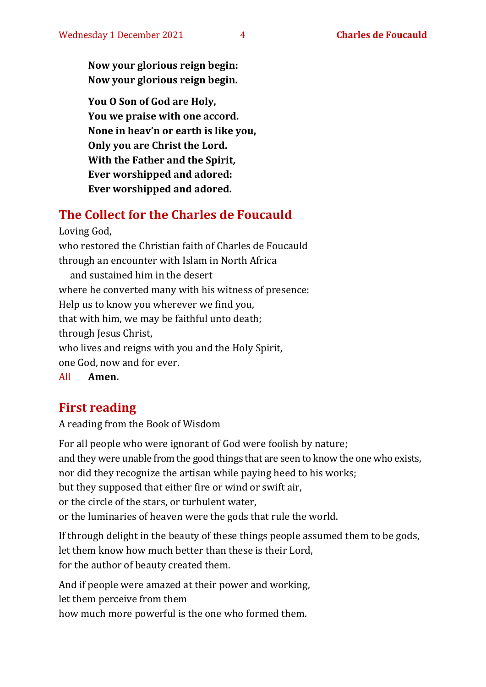**Now your glorious reign begin: Now your glorious reign begin.**

**You O Son of God are Holy, You we praise with one accord. None in heav'n or earth is like you, Only you are Christ the Lord. With the Father and the Spirit, Ever worshipped and adored: Ever worshipped and adored.**

#### **The Collect for the Charles de Foucauld**

Loving God, who restored the Christian faith of Charles de Foucauld through an encounter with Islam in North Africa and sustained him in the desert where he converted many with his witness of presence: Help us to know you wherever we find you, that with him, we may be faithful unto death; through Jesus Christ, who lives and reigns with you and the Holy Spirit, one God, now and for ever. All **Amen.**

#### **First reading**

A reading from the Book of Wisdom

For all people who were ignorant of God were foolish by nature; and they were unable from the good things that are seen to know the one who exists, nor did they recognize the artisan while paying heed to his works; but they supposed that either fire or wind or swift air, or the circle of the stars, or turbulent water, or the luminaries of heaven were the gods that rule the world.

If through delight in the beauty of these things people assumed them to be gods, let them know how much better than these is their Lord, for the author of beauty created them.

And if people were amazed at their power and working, let them perceive from them how much more powerful is the one who formed them.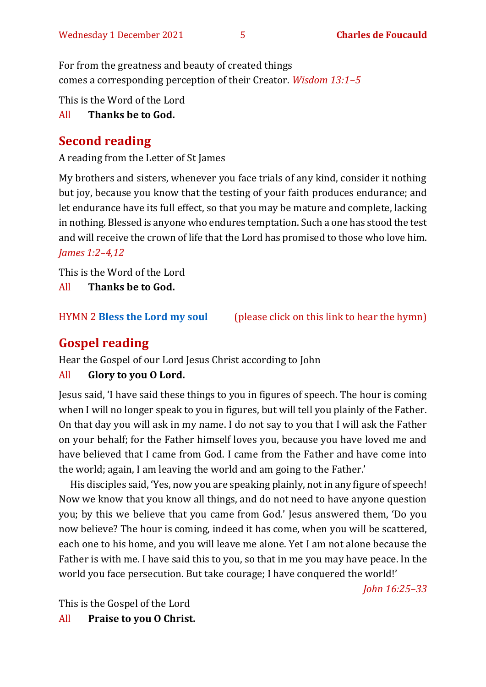For from the greatness and beauty of created things comes a corresponding perception of their Creator. *Wisdom 13:1–5*

This is the Word of the Lord

All **Thanks be to God.**

### **Second reading**

A reading from the Letter of St James

My brothers and sisters, whenever you face trials of any kind, consider it nothing but joy, because you know that the testing of your faith produces endurance; and let endurance have its full effect, so that you may be mature and complete, lacking in nothing. Blessed is anyone who endures temptation. Such a one has stood the test and will receive the crown of life that the Lord has promised to those who love him. *James 1:2–4,12*

This is the Word of the Lord All **Thanks be to God.**

HYMN 2 **[Bless the Lord my soul](https://www.youtube.com/watch?v=3IC2XWBxktk)** (please click on this link to hear the hymn)

#### **Gospel reading**

Hear the Gospel of our Lord Jesus Christ according to John

#### All **Glory to you O Lord.**

Jesus said, 'I have said these things to you in figures of speech. The hour is coming when I will no longer speak to you in figures, but will tell you plainly of the Father. On that day you will ask in my name. I do not say to you that I will ask the Father on your behalf; for the Father himself loves you, because you have loved me and have believed that I came from God. I came from the Father and have come into the world; again, I am leaving the world and am going to the Father.'

His disciples said, 'Yes, now you are speaking plainly, not in any figure of speech! Now we know that you know all things, and do not need to have anyone question you; by this we believe that you came from God.' Jesus answered them, 'Do you now believe? The hour is coming, indeed it has come, when you will be scattered, each one to his home, and you will leave me alone. Yet I am not alone because the Father is with me. I have said this to you, so that in me you may have peace. In the world you face persecution. But take courage; I have conquered the world!'

*John 16:25–33*

This is the Gospel of the Lord

All **Praise to you O Christ.**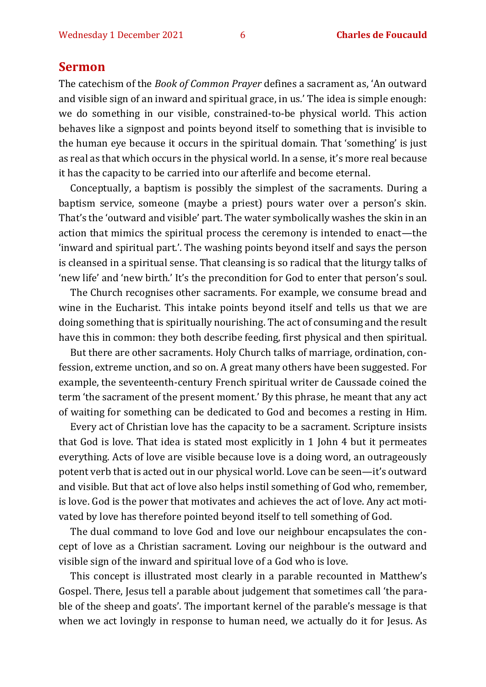#### **Sermon**

The catechism of the *Book of Common Prayer* defines a sacrament as, 'An outward and visible sign of an inward and spiritual grace, in us.' The idea is simple enough: we do something in our visible, constrained-to-be physical world. This action behaves like a signpost and points beyond itself to something that is invisible to the human eye because it occurs in the spiritual domain. That 'something' is just as real as that which occurs in the physical world. In a sense, it's more real because it has the capacity to be carried into our afterlife and become eternal.

Conceptually, a baptism is possibly the simplest of the sacraments. During a baptism service, someone (maybe a priest) pours water over a person's skin. That's the 'outward and visible' part. The water symbolically washes the skin in an action that mimics the spiritual process the ceremony is intended to enact—the 'inward and spiritual part.'. The washing points beyond itself and says the person is cleansed in a spiritual sense. That cleansing is so radical that the liturgy talks of 'new life' and 'new birth.' It's the precondition for God to enter that person's soul.

The Church recognises other sacraments. For example, we consume bread and wine in the Eucharist. This intake points beyond itself and tells us that we are doing something that is spiritually nourishing. The act of consuming and the result have this in common: they both describe feeding, first physical and then spiritual.

But there are other sacraments. Holy Church talks of marriage, ordination, confession, extreme unction, and so on. A great many others have been suggested. For example, the seventeenth-century French spiritual writer de Caussade coined the term 'the sacrament of the present moment.' By this phrase, he meant that any act of waiting for something can be dedicated to God and becomes a resting in Him.

Every act of Christian love has the capacity to be a sacrament. Scripture insists that God is love. That idea is stated most explicitly in 1 John 4 but it permeates everything. Acts of love are visible because love is a doing word, an outrageously potent verb that is acted out in our physical world. Love can be seen—it's outward and visible. But that act of love also helps instil something of God who, remember, is love. God is the power that motivates and achieves the act of love. Any act motivated by love has therefore pointed beyond itself to tell something of God.

The dual command to love God and love our neighbour encapsulates the concept of love as a Christian sacrament. Loving our neighbour is the outward and visible sign of the inward and spiritual love of a God who is love.

This concept is illustrated most clearly in a parable recounted in Matthew's Gospel. There, Jesus tell a parable about judgement that sometimes call 'the parable of the sheep and goats'. The important kernel of the parable's message is that when we act lovingly in response to human need, we actually do it for Jesus. As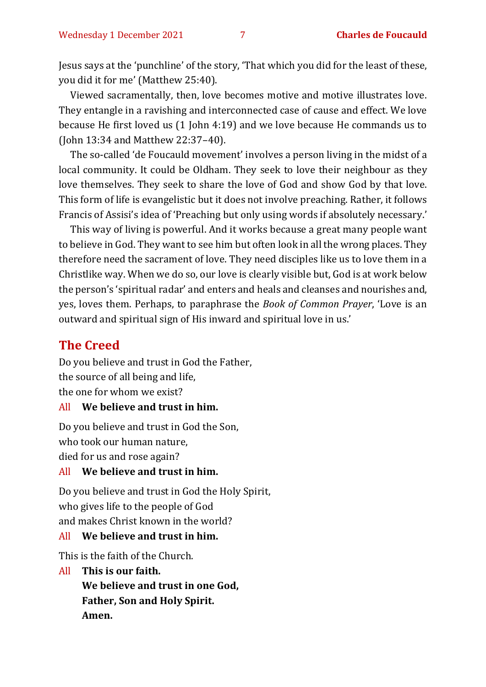Jesus says at the 'punchline' of the story, 'That which you did for the least of these, you did it for me' (Matthew 25:40).

Viewed sacramentally, then, love becomes motive and motive illustrates love. They entangle in a ravishing and interconnected case of cause and effect. We love because He first loved us (1 John 4:19) and we love because He commands us to (John 13:34 and Matthew 22:37–40).

The so-called 'de Foucauld movement' involves a person living in the midst of a local community. It could be Oldham. They seek to love their neighbour as they love themselves. They seek to share the love of God and show God by that love. This form of life is evangelistic but it does not involve preaching. Rather, it follows Francis of Assisi's idea of 'Preaching but only using words if absolutely necessary.'

This way of living is powerful. And it works because a great many people want to believe in God. They want to see him but often look in all the wrong places. They therefore need the sacrament of love. They need disciples like us to love them in a Christlike way. When we do so, our love is clearly visible but, God is at work below the person's 'spiritual radar' and enters and heals and cleanses and nourishes and, yes, loves them. Perhaps, to paraphrase the *Book of Common Prayer*, 'Love is an outward and spiritual sign of His inward and spiritual love in us.'

#### **The Creed**

Do you believe and trust in God the Father, the source of all being and life, the one for whom we exist?

#### All **We believe and trust in him.**

Do you believe and trust in God the Son, who took our human nature, died for us and rose again?

#### All **We believe and trust in him.**

Do you believe and trust in God the Holy Spirit, who gives life to the people of God and makes Christ known in the world?

#### All **We believe and trust in him.**

This is the faith of the Church.

#### All **This is our faith.**

**We believe and trust in one God, Father, Son and Holy Spirit. Amen.**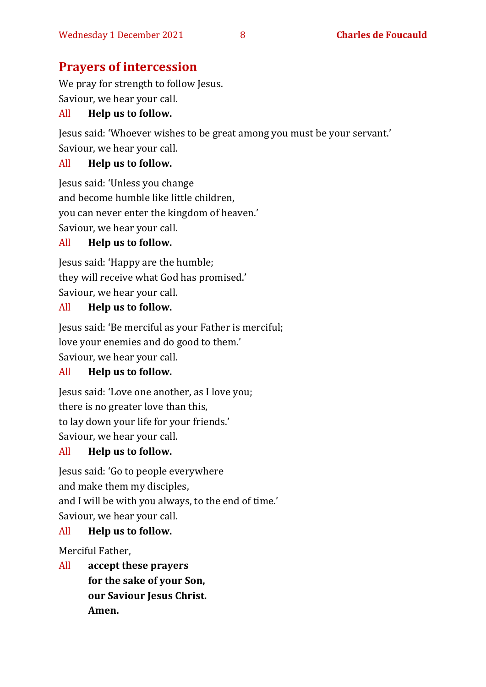#### **Prayers of intercession**

We pray for strength to follow Jesus. Saviour, we hear your call.

#### All **Help us to follow.**

Jesus said: 'Whoever wishes to be great among you must be your servant.' Saviour, we hear your call.

#### All **Help us to follow.**

Jesus said: 'Unless you change and become humble like little children, you can never enter the kingdom of heaven.' Saviour, we hear your call.

#### All **Help us to follow.**

Jesus said: 'Happy are the humble; they will receive what God has promised.' Saviour, we hear your call.

#### All **Help us to follow.**

Jesus said: 'Be merciful as your Father is merciful; love your enemies and do good to them.' Saviour, we hear your call.

#### All **Help us to follow.**

Jesus said: 'Love one another, as I love you; there is no greater love than this, to lay down your life for your friends.' Saviour, we hear your call.

#### All **Help us to follow.**

Jesus said: 'Go to people everywhere and make them my disciples, and I will be with you always, to the end of time.' Saviour, we hear your call.

#### All **Help us to follow.**

Merciful Father,

All **accept these prayers for the sake of your Son, our Saviour Jesus Christ. Amen.**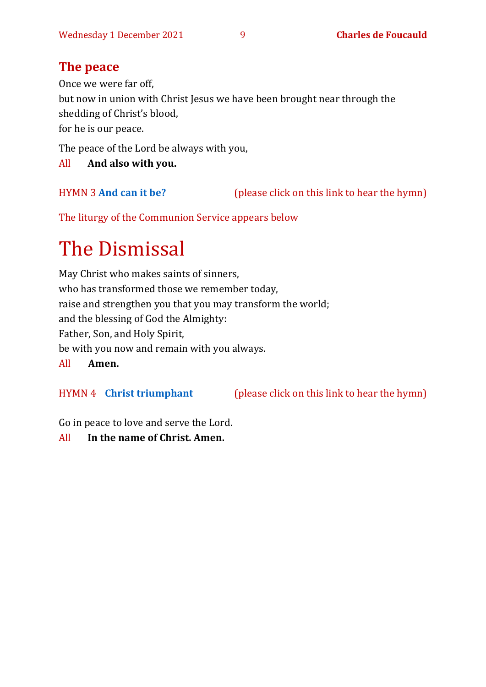#### **The peace**

Once we were far off,

but now in union with Christ Jesus we have been brought near through the shedding of Christ's blood,

for he is our peace.

The peace of the Lord be always with you,

All **And also with you.**

HYMN 3 **[And can it be?](https://www.youtube.com/watch?v=uzDes9IVdzg)** (please click on this link to hear the hymn)

The liturgy of the Communion Service appears below

## The Dismissal

May Christ who makes saints of sinners, who has transformed those we remember today, raise and strengthen you that you may transform the world; and the blessing of God the Almighty: Father, Son, and Holy Spirit, be with you now and remain with you always. All **Amen.**

HYMN 4 **[Christ triumphant](https://youtu.be/N5Xz9V-6JPA)** (please click on this link to hear the hymn)

Go in peace to love and serve the Lord.

All **In the name of Christ. Amen.**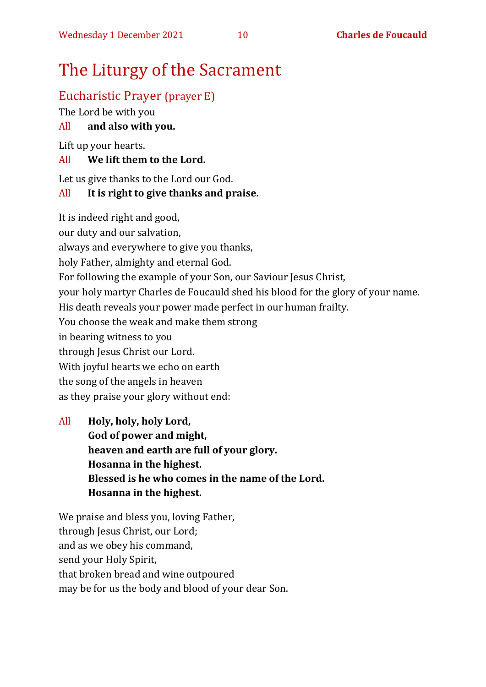## The Liturgy of the Sacrament

### Eucharistic Prayer (prayer E)

The Lord be with you

#### All **and also with you.**

Lift up your hearts.

#### All **We lift them to the Lord.**

Let us give thanks to the Lord our God.

#### All **It is right to give thanks and praise.**

It is indeed right and good,

our duty and our salvation,

always and everywhere to give you thanks,

holy Father, almighty and eternal God.

For following the example of your Son, our Saviour Jesus Christ,

your holy martyr Charles de Foucauld shed his blood for the glory of your name.

His death reveals your power made perfect in our human frailty.

You choose the weak and make them strong

in bearing witness to you

through Jesus Christ our Lord.

With joyful hearts we echo on earth

the song of the angels in heaven

as they praise your glory without end:

All **Holy, holy, holy Lord, God of power and might, heaven and earth are full of your glory. Hosanna in the highest. Blessed is he who comes in the name of the Lord. Hosanna in the highest.**

We praise and bless you, loving Father, through Jesus Christ, our Lord; and as we obey his command, send your Holy Spirit, that broken bread and wine outpoured may be for us the body and blood of your dear Son.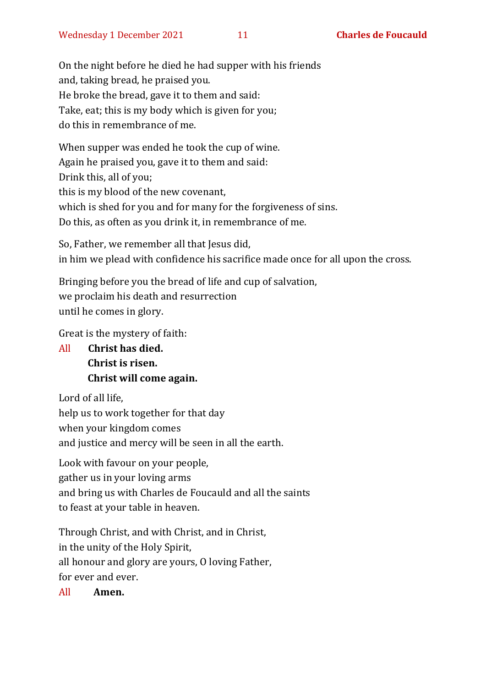On the night before he died he had supper with his friends and, taking bread, he praised you. He broke the bread, gave it to them and said: Take, eat; this is my body which is given for you; do this in remembrance of me.

When supper was ended he took the cup of wine. Again he praised you, gave it to them and said: Drink this, all of you; this is my blood of the new covenant, which is shed for you and for many for the forgiveness of sins. Do this, as often as you drink it, in remembrance of me.

So, Father, we remember all that Jesus did, in him we plead with confidence his sacrifice made once for all upon the cross.

Bringing before you the bread of life and cup of salvation, we proclaim his death and resurrection until he comes in glory.

Great is the mystery of faith:

All **Christ has died. Christ is risen. Christ will come again.**

Lord of all life, help us to work together for that day when your kingdom comes and justice and mercy will be seen in all the earth.

Look with favour on your people, gather us in your loving arms and bring us with Charles de Foucauld and all the saints to feast at your table in heaven.

Through Christ, and with Christ, and in Christ, in the unity of the Holy Spirit, all honour and glory are yours, O loving Father, for ever and ever.

All **Amen.**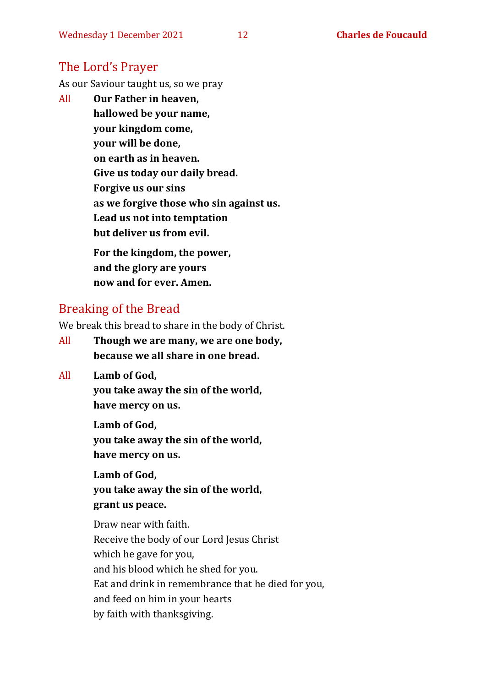#### The Lord's Prayer

As our Saviour taught us, so we pray

All **Our Father in heaven, hallowed be your name, your kingdom come, your will be done, on earth as in heaven. Give us today our daily bread. Forgive us our sins as we forgive those who sin against us. Lead us not into temptation but deliver us from evil. For the kingdom, the power,** 

**and the glory are yours now and for ever. Amen.**

#### Breaking of the Bread

We break this bread to share in the body of Christ.

- All **Though we are many, we are one body, because we all share in one bread.**
- All **Lamb of God,**

**you take away the sin of the world, have mercy on us.**

**Lamb of God, you take away the sin of the world, have mercy on us.**

**Lamb of God, you take away the sin of the world, grant us peace.**

Draw near with faith. Receive the body of our Lord Jesus Christ which he gave for you, and his blood which he shed for you. Eat and drink in remembrance that he died for you, and feed on him in your hearts by faith with thanksgiving.